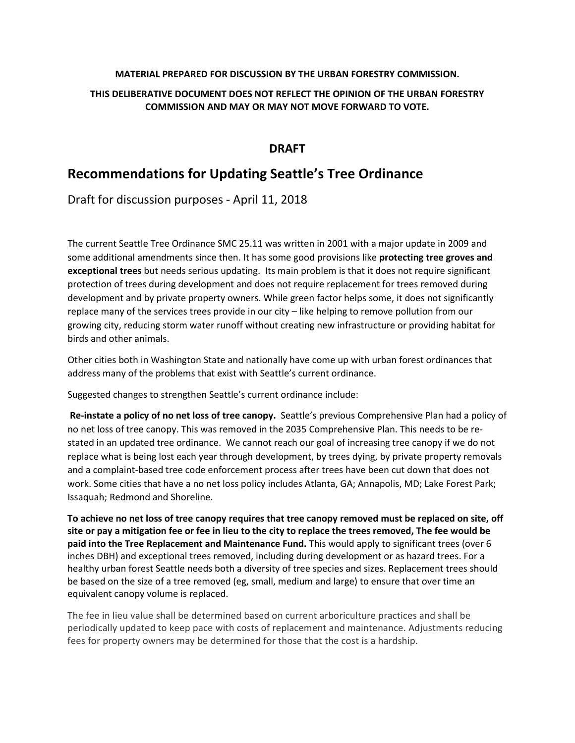#### **MATERIAL PREPARED FOR DISCUSSION BY THE URBAN FORESTRY COMMISSION.**

### **THIS DELIBERATIVE DOCUMENT DOES NOT REFLECT THE OPINION OF THE URBAN FORESTRY COMMISSION AND MAY OR MAY NOT MOVE FORWARD TO VOTE.**

# **DRAFT**

# **Recommendations for Updating Seattle's Tree Ordinance**

Draft for discussion purposes - April 11, 2018

The current Seattle Tree Ordinance SMC 25.11 was written in 2001 with a major update in 2009 and some additional amendments since then. It has some good provisions like **protecting tree groves and exceptional trees** but needs serious updating. Its main problem is that it does not require significant protection of trees during development and does not require replacement for trees removed during development and by private property owners. While green factor helps some, it does not significantly replace many of the services trees provide in our city – like helping to remove pollution from our growing city, reducing storm water runoff without creating new infrastructure or providing habitat for birds and other animals.

Other cities both in Washington State and nationally have come up with urban forest ordinances that address many of the problems that exist with Seattle's current ordinance.

Suggested changes to strengthen Seattle's current ordinance include:

**Re-instate a policy of no net loss of tree canopy.** Seattle's previous Comprehensive Plan had a policy of no net loss of tree canopy. This was removed in the 2035 Comprehensive Plan. This needs to be restated in an updated tree ordinance. We cannot reach our goal of increasing tree canopy if we do not replace what is being lost each year through development, by trees dying, by private property removals and a complaint-based tree code enforcement process after trees have been cut down that does not work. Some cities that have a no net loss policy includes Atlanta, GA; Annapolis, MD; Lake Forest Park; Issaquah; Redmond and Shoreline.

**To achieve no net loss of tree canopy requires that tree canopy removed must be replaced on site, off site or pay a mitigation fee or fee in lieu to the city to replace the trees removed, The fee would be paid into the Tree Replacement and Maintenance Fund.** This would apply to significant trees (over 6 inches DBH) and exceptional trees removed, including during development or as hazard trees. For a healthy urban forest Seattle needs both a diversity of tree species and sizes. Replacement trees should be based on the size of a tree removed (eg, small, medium and large) to ensure that over time an equivalent canopy volume is replaced.

The fee in lieu value shall be determined based on current arboriculture practices and shall be periodically updated to keep pace with costs of replacement and maintenance. Adjustments reducing fees for property owners may be determined for those that the cost is a hardship.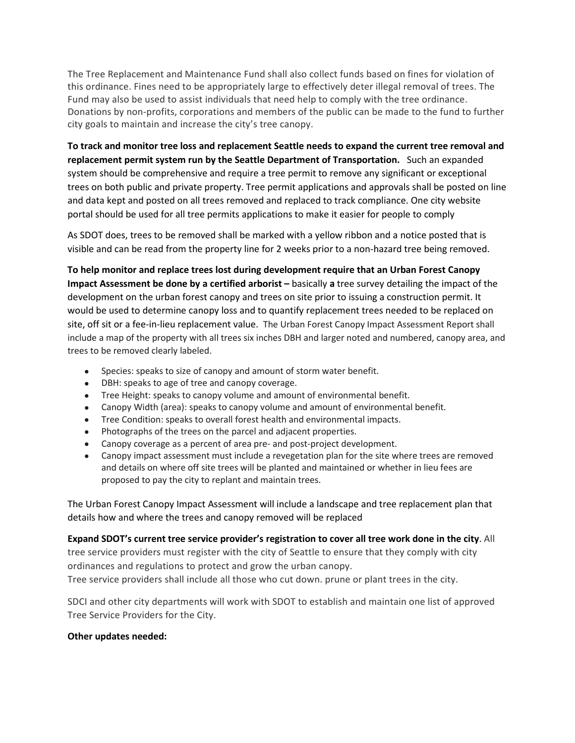The Tree Replacement and Maintenance Fund shall also collect funds based on fines for violation of this ordinance. Fines need to be appropriately large to effectively deter illegal removal of trees. The Fund may also be used to assist individuals that need help to comply with the tree ordinance. Donations by non-profits, corporations and members of the public can be made to the fund to further city goals to maintain and increase the city's tree canopy.

**To track and monitor tree loss and replacement Seattle needs to expand the current tree removal and replacement permit system run by the Seattle Department of Transportation.** Such an expanded system should be comprehensive and require a tree permit to remove any significant or exceptional trees on both public and private property. Tree permit applications and approvals shall be posted on line and data kept and posted on all trees removed and replaced to track compliance. One city website portal should be used for all tree permits applications to make it easier for people to comply

As SDOT does, trees to be removed shall be marked with a yellow ribbon and a notice posted that is visible and can be read from the property line for 2 weeks prior to a non-hazard tree being removed.

**To help monitor and replace trees lost during development require that an Urban Forest Canopy Impact Assessment be done by a certified arborist –** basically **a** tree survey detailing the impact of the development on the urban forest canopy and trees on site prior to issuing a construction permit. It would be used to determine canopy loss and to quantify replacement trees needed to be replaced on site, off sit or a fee-in-lieu replacement value. The Urban Forest Canopy Impact Assessment Report shall include a map of the property with all trees six inches DBH and larger noted and numbered, canopy area, and trees to be removed clearly labeled.

- Species: speaks to size of canopy and amount of storm water benefit.
- DBH: speaks to age of tree and canopy coverage.
- Tree Height: speaks to canopy volume and amount of environmental benefit.
- Canopy Width (area): speaks to canopy volume and amount of environmental benefit.
- Tree Condition: speaks to overall forest health and environmental impacts.
- Photographs of the trees on the parcel and adjacent properties.
- Canopy coverage as a percent of area pre- and post-project development.
- Canopy impact assessment must include a revegetation plan for the site where trees are removed and details on where off site trees will be planted and maintained or whether in lieu fees are proposed to pay the city to replant and maintain trees.

The Urban Forest Canopy Impact Assessment will include a landscape and tree replacement plan that details how and where the trees and canopy removed will be replaced

# **Expand SDOT's current tree service provider's registration to cover all tree work done in the city**. All

tree service providers must register with the city of Seattle to ensure that they comply with city ordinances and regulations to protect and grow the urban canopy. Tree service providers shall include all those who cut down. prune or plant trees in the city.

SDCI and other city departments will work with SDOT to establish and maintain one list of approved Tree Service Providers for the City.

#### **Other updates needed:**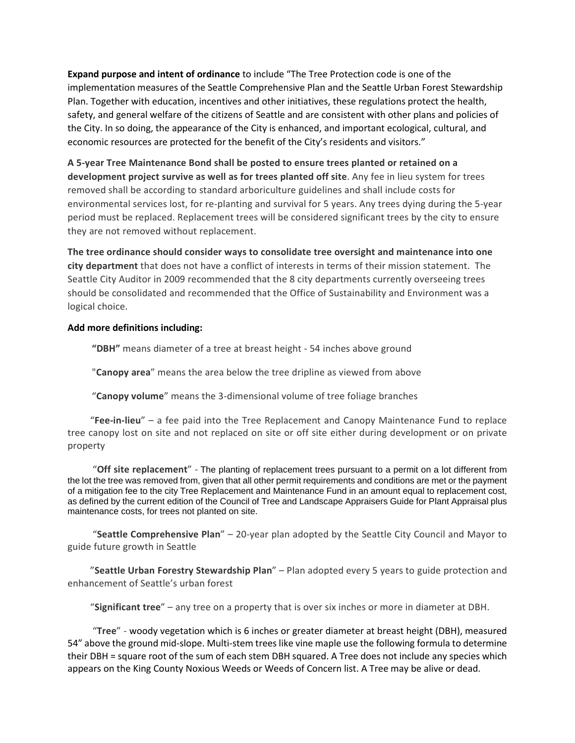**Expand purpose and intent of ordinance** to include "The Tree Protection code is one of the implementation measures of the Seattle Comprehensive Plan and the Seattle Urban Forest Stewardship Plan. Together with education, incentives and other initiatives, these regulations protect the health, safety, and general welfare of the citizens of Seattle and are consistent with other plans and policies of the City. In so doing, the appearance of the City is enhanced, and important ecological, cultural, and economic resources are protected for the benefit of the City's residents and visitors."

**A 5-year Tree Maintenance Bond shall be posted to ensure trees planted or retained on a development project survive as well as for trees planted off site**. Any fee in lieu system for trees removed shall be according to standard arboriculture guidelines and shall include costs for environmental services lost, for re-planting and survival for 5 years. Any trees dying during the 5-year period must be replaced. Replacement trees will be considered significant trees by the city to ensure they are not removed without replacement.

**The tree ordinance should consider ways to consolidate tree oversight and maintenance into one city department** that does not have a conflict of interests in terms of their mission statement. The Seattle City Auditor in 2009 recommended that the 8 city departments currently overseeing trees should be consolidated and recommended that the Office of Sustainability and Environment was a logical choice.

#### **Add more definitions including:**

 **"DBH"** means diameter of a tree at breast height - 54 inches above ground

"**Canopy area**" means the area below the tree dripline as viewed from above

"**Canopy volume**" means the 3-dimensional volume of tree foliage branches

"**Fee-in-lieu**" – a fee paid into the Tree Replacement and Canopy Maintenance Fund to replace tree canopy lost on site and not replaced on site or off site either during development or on private property

"**Off site replacement**" - The planting of replacement trees pursuant to a permit on a lot different from the lot the tree was removed from, given that all other permit requirements and conditions are met or the payment of a mitigation fee to the city Tree Replacement and Maintenance Fund in an amount equal to replacement cost, as defined by the current edition of the Council of Tree and Landscape Appraisers Guide for Plant Appraisal plus maintenance costs, for trees not planted on site.

"**Seattle Comprehensive Plan**" – 20-year plan adopted by the Seattle City Council and Mayor to guide future growth in Seattle

"**Seattle Urban Forestry Stewardship Plan**" – Plan adopted every 5 years to guide protection and enhancement of Seattle's urban forest

"**Significant tree**" – any tree on a property that is over six inches or more in diameter at DBH.

"**Tree**" - woody vegetation which is 6 inches or greater diameter at breast height (DBH), measured 54" above the ground mid-slope. Multi-stem trees like vine maple use the following formula to determine their DBH = square root of the sum of each stem DBH squared. A Tree does not include any species which appears on the King County Noxious Weeds or Weeds of Concern list. A Tree may be alive or dead.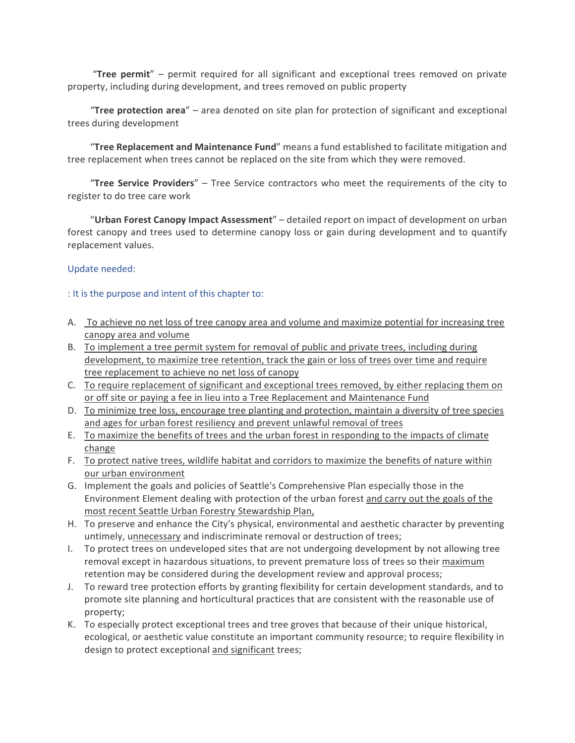"**Tree permit**" – permit required for all significant and exceptional trees removed on private property, including during development, and trees removed on public property

"**Tree protection area**" – area denoted on site plan for protection of significant and exceptional trees during development

"**Tree Replacement and Maintenance Fund**" means a fund established to facilitate mitigation and tree replacement when trees cannot be replaced on the site from which they were removed.

"**Tree Service Providers**" – Tree Service contractors who meet the requirements of the city to register to do tree care work

"**Urban Forest Canopy Impact Assessment**" – detailed report on impact of development on urban forest canopy and trees used to determine canopy loss or gain during development and to quantify replacement values.

#### Update needed:

#### : It is the purpose and intent of this chapter to:

- A. To achieve no net loss of tree canopy area and volume and maximize potential for increasing tree canopy area and volume
- B. To implement a tree permit system for removal of public and private trees, including during development, to maximize tree retention, track the gain or loss of trees over time and require tree replacement to achieve no net loss of canopy
- C. To require replacement of significant and exceptional trees removed, by either replacing them on or off site or paying a fee in lieu into a Tree Replacement and Maintenance Fund
- D. To minimize tree loss, encourage tree planting and protection, maintain a diversity of tree species and ages for urban forest resiliency and prevent unlawful removal of trees
- E. To maximize the benefits of trees and the urban forest in responding to the impacts of climate change
- F. To protect native trees, wildlife habitat and corridors to maximize the benefits of nature within our urban environment
- G. Implement the goals and policies of Seattle's Comprehensive Plan especially those in the Environment Element dealing with protection of the urban forest and carry out the goals of the most recent Seattle Urban Forestry Stewardship Plan,
- H. To preserve and enhance the City's physical, environmental and aesthetic character by preventing untimely, unnecessary and indiscriminate removal or destruction of trees;
- I. To protect trees on undeveloped sites that are not undergoing development by not allowing tree removal except in hazardous situations, to prevent premature loss of trees so their maximum retention may be considered during the development review and approval process;
- J. To reward tree protection efforts by granting flexibility for certain development standards, and to promote site planning and horticultural practices that are consistent with the reasonable use of property;
- K. To especially protect exceptional trees and tree groves that because of their unique historical, ecological, or aesthetic value constitute an important community resource; to require flexibility in design to protect exceptional and significant trees;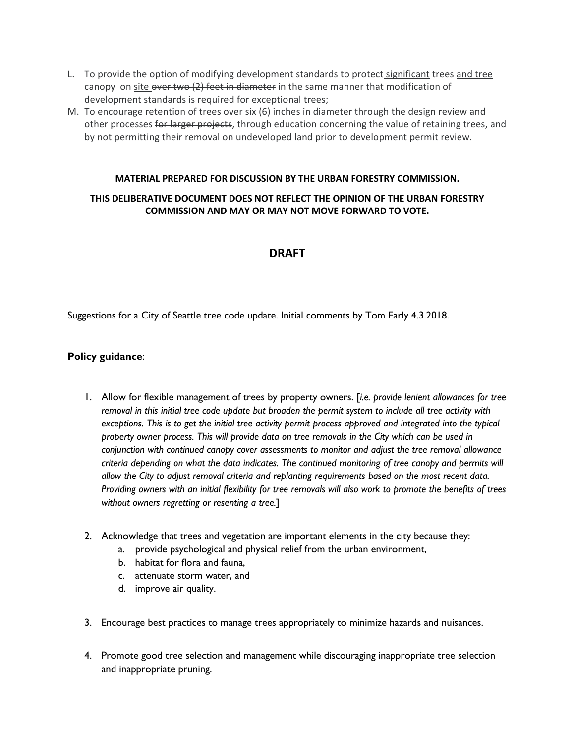- L. To provide the option of modifying development standards to protect significant trees and tree canopy on site  $\theta$ ver two  $(2)$  feet in diameter in the same manner that modification of development standards is required for exceptional trees;
- M. To encourage retention of trees over six (6) inches in diameter through the design review and other processes for larger projects, through education concerning the value of retaining trees, and by not permitting their removal on undeveloped land prior to development permit review.

#### **MATERIAL PREPARED FOR DISCUSSION BY THE URBAN FORESTRY COMMISSION.**

## **THIS DELIBERATIVE DOCUMENT DOES NOT REFLECT THE OPINION OF THE URBAN FORESTRY COMMISSION AND MAY OR MAY NOT MOVE FORWARD TO VOTE.**

# **DRAFT**

Suggestions for a City of Seattle tree code update. Initial comments by Tom Early 4.3.2018.

### **Policy guidance**:

- 1. Allow for flexible management of trees by property owners. [*i.e. provide lenient allowances for tree removal in this initial tree code update but broaden the permit system to include all tree activity with exceptions. This is to get the initial tree activity permit process approved and integrated into the typical property owner process. This will provide data on tree removals in the City which can be used in conjunction with continued canopy cover assessments to monitor and adjust the tree removal allowance criteria depending on what the data indicates. The continued monitoring of tree canopy and permits will allow the City to adjust removal criteria and replanting requirements based on the most recent data. Providing owners with an initial flexibility for tree removals will also work to promote the benefits of trees without owners regretting or resenting a tree.*]
- 2. Acknowledge that trees and vegetation are important elements in the city because they:
	- a. provide psychological and physical relief from the urban environment,
	- b. habitat for flora and fauna,
	- c. attenuate storm water, and
	- d. improve air quality.
- 3. Encourage best practices to manage trees appropriately to minimize hazards and nuisances.
- 4. Promote good tree selection and management while discouraging inappropriate tree selection and inappropriate pruning.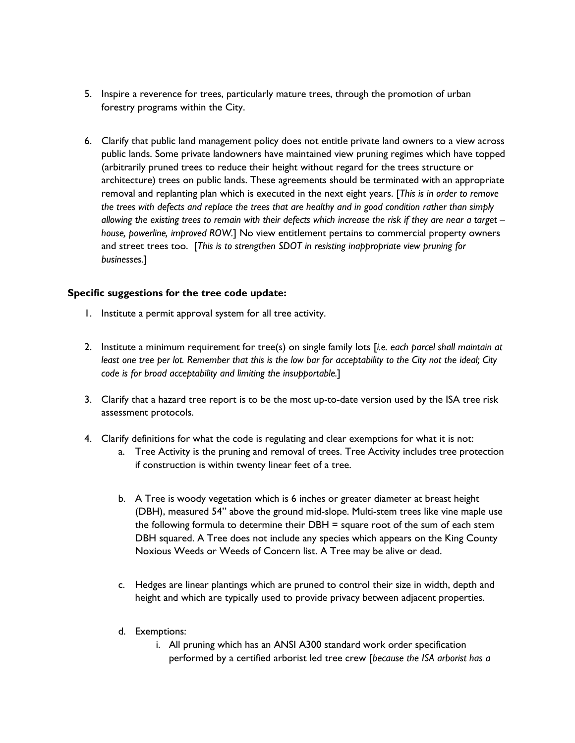- 5. Inspire a reverence for trees, particularly mature trees, through the promotion of urban forestry programs within the City.
- 6. Clarify that public land management policy does not entitle private land owners to a view across public lands. Some private landowners have maintained view pruning regimes which have topped (arbitrarily pruned trees to reduce their height without regard for the trees structure or architecture) trees on public lands. These agreements should be terminated with an appropriate removal and replanting plan which is executed in the next eight years. [*This is in order to remove the trees with defects and replace the trees that are healthy and in good condition rather than simply allowing the existing trees to remain with their defects which increase the risk if they are near a target – house, powerline, improved ROW.*] No view entitlement pertains to commercial property owners and street trees too. [*This is to strengthen SDOT in resisting inappropriate view pruning for businesses.*]

### **Specific suggestions for the tree code update:**

- 1. Institute a permit approval system for all tree activity.
- 2. Institute a minimum requirement for tree(s) on single family lots [*i.e. each parcel shall maintain at least one tree per lot. Remember that this is the low bar for acceptability to the City not the ideal; City code is for broad acceptability and limiting the insupportable.*]
- 3. Clarify that a hazard tree report is to be the most up-to-date version used by the ISA tree risk assessment protocols.
- 4. Clarify definitions for what the code is regulating and clear exemptions for what it is not:
	- a. Tree Activity is the pruning and removal of trees. Tree Activity includes tree protection if construction is within twenty linear feet of a tree.
	- b. A Tree is woody vegetation which is 6 inches or greater diameter at breast height (DBH), measured 54" above the ground mid-slope. Multi-stem trees like vine maple use the following formula to determine their DBH = square root of the sum of each stem DBH squared. A Tree does not include any species which appears on the King County Noxious Weeds or Weeds of Concern list. A Tree may be alive or dead.
	- c. Hedges are linear plantings which are pruned to control their size in width, depth and height and which are typically used to provide privacy between adjacent properties.
	- d. Exemptions:
		- i. All pruning which has an ANSI A300 standard work order specification performed by a certified arborist led tree crew [*because the ISA arborist has a*